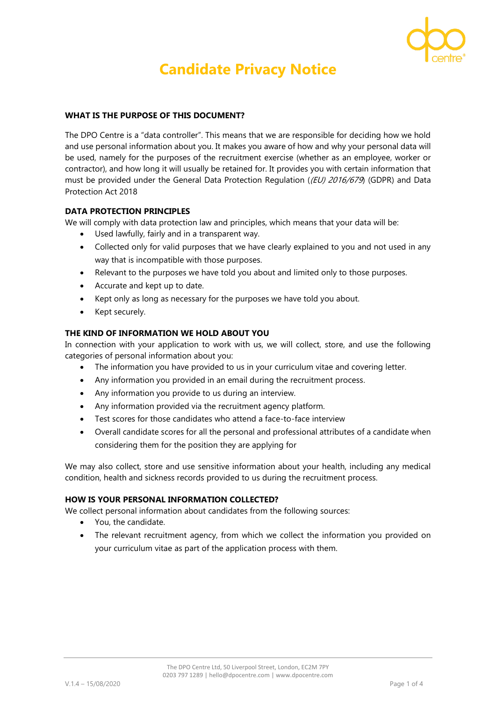

# **Candidate Privacy Notice**

# **WHAT IS THE PURPOSE OF THIS DOCUMENT?**

The DPO Centre is a "data controller". This means that we are responsible for deciding how we hold and use personal information about you. It makes you aware of how and why your personal data will be used, namely for the purposes of the recruitment exercise (whether as an employee, worker or contractor), and how long it will usually be retained for. It provides you with certain information that must be provided under the General Data Protection Regulation ((EU) 2016/679 (GDPR) and Data Protection Act 2018

# **DATA PROTECTION PRINCIPLES**

We will comply with data protection law and principles, which means that your data will be:

- Used lawfully, fairly and in a transparent way.
- Collected only for valid purposes that we have clearly explained to you and not used in any way that is incompatible with those purposes.
- Relevant to the purposes we have told you about and limited only to those purposes.
- Accurate and kept up to date.
- Kept only as long as necessary for the purposes we have told you about.
- Kept securely.

# **THE KIND OF INFORMATION WE HOLD ABOUT YOU**

In connection with your application to work with us, we will collect, store, and use the following categories of personal information about you:

- The information you have provided to us in your curriculum vitae and covering letter.
- Any information you provided in an email during the recruitment process.
- Any information you provide to us during an interview.
- Any information provided via the recruitment agency platform.
- Test scores for those candidates who attend a face-to-face interview
- Overall candidate scores for all the personal and professional attributes of a candidate when considering them for the position they are applying for

We may also collect, store and use sensitive information about your health, including any medical condition, health and sickness records provided to us during the recruitment process.

#### **HOW IS YOUR PERSONAL INFORMATION COLLECTED?**

We collect personal information about candidates from the following sources:

- You, the candidate.
- The relevant recruitment agency, from which we collect the information you provided on your curriculum vitae as part of the application process with them.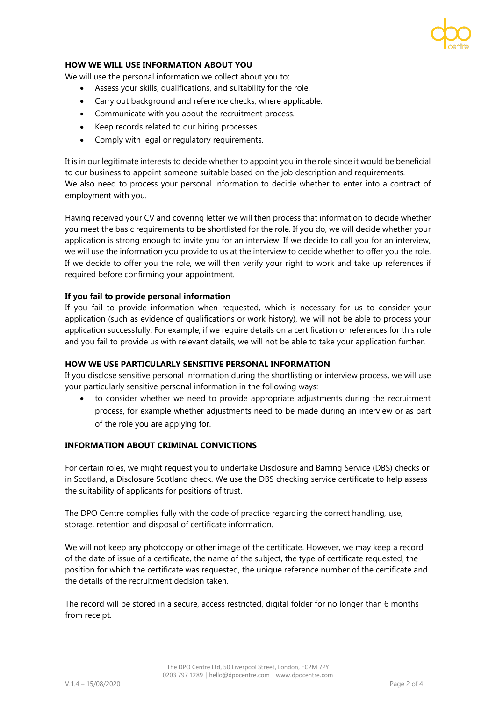# **HOW WE WILL USE INFORMATION ABOUT YOU**

We will use the personal information we collect about you to:

- Assess your skills, qualifications, and suitability for the role.
- Carry out background and reference checks, where applicable.
- Communicate with you about the recruitment process.
- Keep records related to our hiring processes.
- Comply with legal or regulatory requirements.

It is in our legitimate interests to decide whether to appoint you in the role since it would be beneficial to our business to appoint someone suitable based on the job description and requirements. We also need to process your personal information to decide whether to enter into a contract of employment with you.

Having received your CV and covering letter we will then process that information to decide whether you meet the basic requirements to be shortlisted for the role. If you do, we will decide whether your application is strong enough to invite you for an interview. If we decide to call you for an interview, we will use the information you provide to us at the interview to decide whether to offer you the role. If we decide to offer you the role, we will then verify your right to work and take up references if required before confirming your appointment.

#### **If you fail to provide personal information**

If you fail to provide information when requested, which is necessary for us to consider your application (such as evidence of qualifications or work history), we will not be able to process your application successfully. For example, if we require details on a certification or references for this role and you fail to provide us with relevant details, we will not be able to take your application further.

#### **HOW WE USE PARTICULARLY SENSITIVE PERSONAL INFORMATION**

If you disclose sensitive personal information during the shortlisting or interview process, we will use your particularly sensitive personal information in the following ways:

• to consider whether we need to provide appropriate adjustments during the recruitment process, for example whether adjustments need to be made during an interview or as part of the role you are applying for.

#### **INFORMATION ABOUT CRIMINAL CONVICTIONS**

For certain roles, we might request you to undertake Disclosure and Barring Service (DBS) checks or in Scotland, a Disclosure Scotland check. We use the DBS checking service certificate to help assess the suitability of applicants for positions of trust.

The DPO Centre complies fully with the code of practice regarding the correct handling, use, storage, retention and disposal of certificate information.

We will not keep any photocopy or other image of the certificate. However, we may keep a record of the date of issue of a certificate, the name of the subject, the type of certificate requested, the position for which the certificate was requested, the unique reference number of the certificate and the details of the recruitment decision taken.

The record will be stored in a secure, access restricted, digital folder for no longer than 6 months from receipt.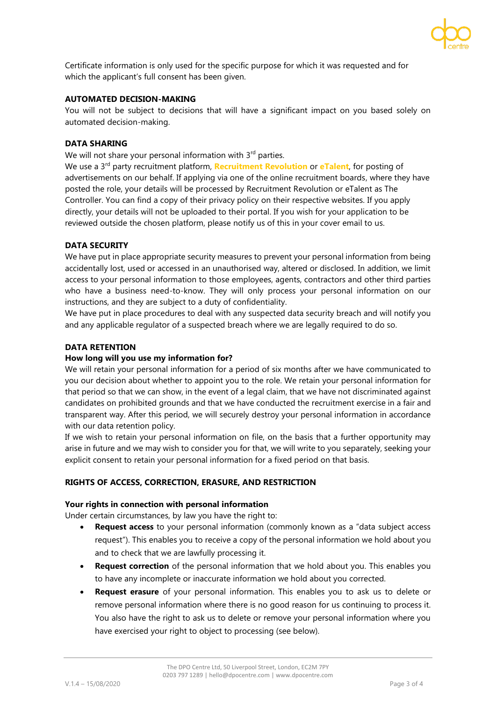

Certificate information is only used for the specific purpose for which it was requested and for which the applicant's full consent has been given.

#### **AUTOMATED DECISION-MAKING**

You will not be subject to decisions that will have a significant impact on you based solely on automated decision-making.

#### **DATA SHARING**

We will not share your personal information with 3<sup>rd</sup> parties.

We use a 3rd party recruitment platform, **[Recruitment Revolution](https://www.recruitmentrevolution.com/)** or **[eTalent](https://www.etalent.net/)**, for posting of advertisements on our behalf. If applying via one of the online recruitment boards, where they have posted the role, your details will be processed by Recruitment Revolution or eTalent as The Controller. You can find a copy of their privacy policy on their respective websites. If you apply directly, your details will not be uploaded to their portal. If you wish for your application to be reviewed outside the chosen platform, please notify us of this in your cover email to us.

#### **DATA SECURITY**

We have put in place appropriate security measures to prevent your personal information from being accidentally lost, used or accessed in an unauthorised way, altered or disclosed. In addition, we limit access to your personal information to those employees, agents, contractors and other third parties who have a business need-to-know. They will only process your personal information on our instructions, and they are subject to a duty of confidentiality.

We have put in place procedures to deal with any suspected data security breach and will notify you and any applicable regulator of a suspected breach where we are legally required to do so.

#### **DATA RETENTION**

#### **How long will you use my information for?**

We will retain your personal information for a period of six months after we have communicated to you our decision about whether to appoint you to the role. We retain your personal information for that period so that we can show, in the event of a legal claim, that we have not discriminated against candidates on prohibited grounds and that we have conducted the recruitment exercise in a fair and transparent way. After this period, we will securely destroy your personal information in accordance with our data retention policy.

If we wish to retain your personal information on file, on the basis that a further opportunity may arise in future and we may wish to consider you for that, we will write to you separately, seeking your explicit consent to retain your personal information for a fixed period on that basis.

#### **RIGHTS OF ACCESS, CORRECTION, ERASURE, AND RESTRICTION**

#### **Your rights in connection with personal information**

Under certain circumstances, by law you have the right to:

- **Request access** to your personal information (commonly known as a "data subject access request"). This enables you to receive a copy of the personal information we hold about you and to check that we are lawfully processing it.
- **Request correction** of the personal information that we hold about you. This enables you to have any incomplete or inaccurate information we hold about you corrected.
- **Request erasure** of your personal information. This enables you to ask us to delete or remove personal information where there is no good reason for us continuing to process it. You also have the right to ask us to delete or remove your personal information where you have exercised your right to object to processing (see below).